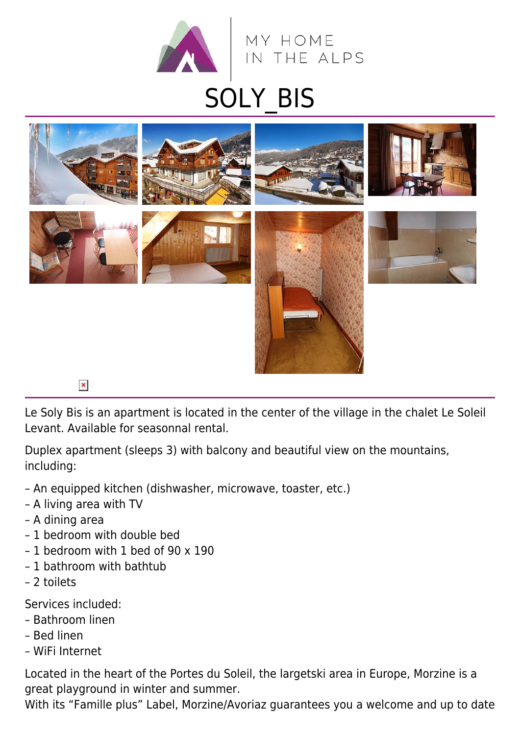



Le Soly Bis is an apartment is located in the center of the village in the chalet Le Soleil Levant. Available for seasonnal rental.

Duplex apartment (sleeps 3) with balcony and beautiful view on the mountains, including:

- An equipped kitchen (dishwasher, microwave, toaster, etc.)
- A living area with TV
- A dining area
- 1 bedroom with double bed
- 1 bedroom with 1 bed of 90 x 190
- 1 bathroom with bathtub
- 2 toilets

Services included:

- Bathroom linen
- Bed linen
- WiFi Internet

Located in the heart of the Portes du Soleil, the largetski area in Europe, Morzine is a great playground in winter and summer.

With its "Famille plus" Label, Morzine/Avoriaz guarantees you a welcome and up to date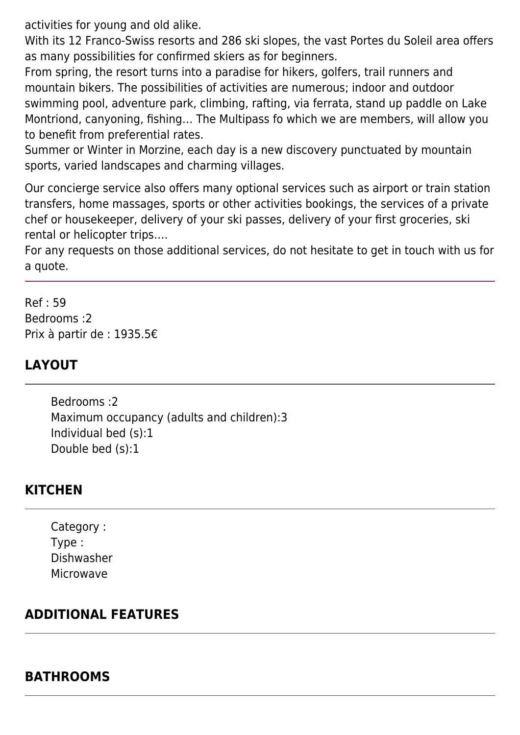activities for young and old alike.

With its 12 Franco-Swiss resorts and 286 ski slopes, the vast Portes du Soleil area offers as many possibilities for confirmed skiers as for beginners.

From spring, the resort turns into a paradise for hikers, golfers, trail runners and mountain bikers. The possibilities of activities are numerous; indoor and outdoor swimming pool, adventure park, climbing, rafting, via ferrata, stand up paddle on Lake Montriond, canyoning, fishing… The Multipass fo which we are members, will allow you to benefit from preferential rates.

Summer or Winter in Morzine, each day is a new discovery punctuated by mountain sports, varied landscapes and charming villages.

Our concierge service also offers many optional services such as airport or train station transfers, home massages, sports or other activities bookings, the services of a private chef or housekeeper, delivery of your ski passes, delivery of your first groceries, ski rental or helicopter trips….

For any requests on those additional services, do not hesitate to get in touch with us for a quote.

Ref : 59 Bedrooms :2 Prix à partir de : 1935.5€

# **LAYOUT**

Bedrooms :2 Maximum occupancy (adults and children):3 Individual bed (s):1 Double bed (s):1

# **KITCHEN**

Category : Type : Dishwasher Microwave

## **ADDITIONAL FEATURES**

## **BATHROOMS**